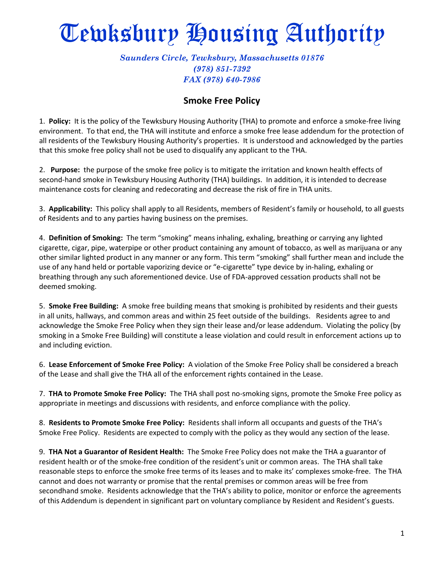## Tewksbury Housing Authority

## *Saunders Circle, Tewksbury, Massachusetts 01876 (978) 851-7392 FAX (978) 640-7986*

## **Smoke Free Policy**

1. **Policy:** It is the policy of the Tewksbury Housing Authority (THA) to promote and enforce a smoke-free living environment. To that end, the THA will institute and enforce a smoke free lease addendum for the protection of all residents of the Tewksbury Housing Authority's properties. It is understood and acknowledged by the parties that this smoke free policy shall not be used to disqualify any applicant to the THA.

2. **Purpose:** the purpose of the smoke free policy is to mitigate the irritation and known health effects of second-hand smoke in Tewksbury Housing Authority (THA) buildings. In addition, it is intended to decrease maintenance costs for cleaning and redecorating and decrease the risk of fire in THA units.

3. **Applicability:** This policy shall apply to all Residents, members of Resident's family or household, to all guests of Residents and to any parties having business on the premises.

4. **Definition of Smoking:** The term "smoking" means inhaling, exhaling, breathing or carrying any lighted cigarette, cigar, pipe, waterpipe or other product containing any amount of tobacco, as well as marijuana or any other similar lighted product in any manner or any form. This term "smoking" shall further mean and include the use of any hand held or portable vaporizing device or "e-cigarette" type device by in-haling, exhaling or breathing through any such aforementioned device. Use of FDA-approved cessation products shall not be deemed smoking.

5. **Smoke Free Building:** A smoke free building means that smoking is prohibited by residents and their guests in all units, hallways, and common areas and within 25 feet outside of the buildings. Residents agree to and acknowledge the Smoke Free Policy when they sign their lease and/or lease addendum. Violating the policy (by smoking in a Smoke Free Building) will constitute a lease violation and could result in enforcement actions up to and including eviction.

6. **Lease Enforcement of Smoke Free Policy:** A violation of the Smoke Free Policy shall be considered a breach of the Lease and shall give the THA all of the enforcement rights contained in the Lease.

7. **THA to Promote Smoke Free Policy:** The THA shall post no-smoking signs, promote the Smoke Free policy as appropriate in meetings and discussions with residents, and enforce compliance with the policy.

8. **Residents to Promote Smoke Free Policy:** Residents shall inform all occupants and guests of the THA's Smoke Free Policy. Residents are expected to comply with the policy as they would any section of the lease.

9. **THA Not a Guarantor of Resident Health:** The Smoke Free Policy does not make the THA a guarantor of resident health or of the smoke-free condition of the resident's unit or common areas. The THA shall take reasonable steps to enforce the smoke free terms of its leases and to make its' complexes smoke-free. The THA cannot and does not warranty or promise that the rental premises or common areas will be free from secondhand smoke. Residents acknowledge that the THA's ability to police, monitor or enforce the agreements of this Addendum is dependent in significant part on voluntary compliance by Resident and Resident's guests.